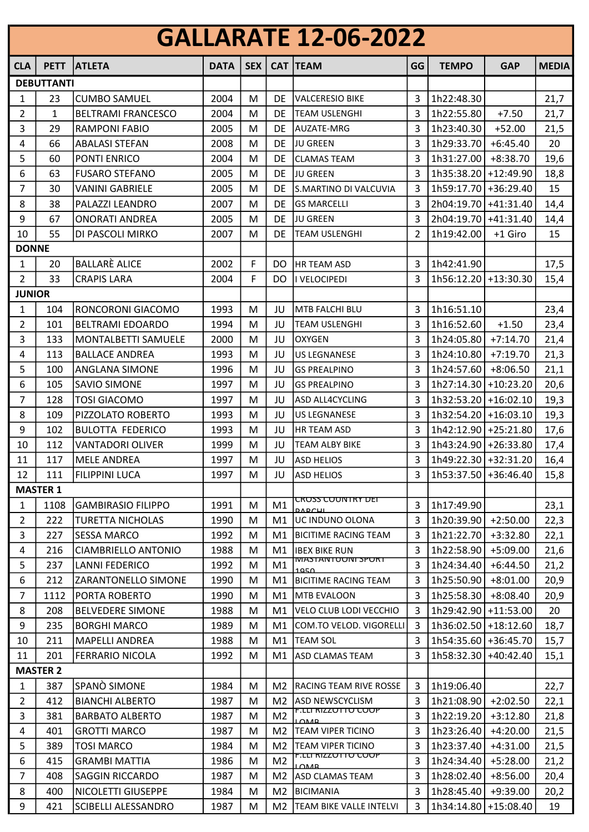| <b>GALLARATE 12-06-2022</b> |                   |                                                  |              |            |                                  |                                                    |                |                                    |             |              |
|-----------------------------|-------------------|--------------------------------------------------|--------------|------------|----------------------------------|----------------------------------------------------|----------------|------------------------------------|-------------|--------------|
| <b>CLA</b>                  | <b>PETT</b>       | <b>ATLETA</b>                                    | <b>DATA</b>  | <b>SEX</b> |                                  | <b>CAT TEAM</b>                                    | GG             | <b>TEMPO</b>                       | <b>GAP</b>  | <b>MEDIA</b> |
|                             | <b>DEBUTTANTI</b> |                                                  |              |            |                                  |                                                    |                |                                    |             |              |
| 1                           | 23                | <b>CUMBO SAMUEL</b>                              | 2004         | M          | DE                               | <b>VALCERESIO BIKE</b>                             | 3              | 1h22:48.30                         |             | 21,7         |
| 2                           | 1                 | <b>BELTRAMI FRANCESCO</b>                        | 2004         | M          | DE                               | <b>TEAM USLENGHI</b>                               | 3              | 1h22:55.80                         | $+7.50$     | 21,7         |
| 3                           | 29                | RAMPONI FABIO                                    | 2005         | M          | DE                               | AUZATE-MRG                                         | 3              | 1h23:40.30                         | $+52.00$    | 21,5         |
| 4                           | 66                | <b>ABALASI STEFAN</b>                            | 2008         | M          | DE                               | JU GREEN                                           | 3              | 1h29:33.70                         | $+6:45.40$  | 20           |
| 5                           | 60                | PONTI ENRICO                                     | 2004         | M          | DE                               | <b>CLAMAS TEAM</b>                                 | 3              | 1h31:27.00                         | $+8:38.70$  | 19,6         |
| 6                           | 63                | <b>FUSARO STEFANO</b>                            | 2005         | M          | DE                               | JU GREEN                                           | $\overline{3}$ | 1h35:38.20 +12:49.90               |             | 18,8         |
| 7                           | 30                | <b>VANINI GABRIELE</b>                           | 2005         | M          | DE                               | S.MARTINO DI VALCUVIA                              | 3              | 1h59:17.70 +36:29.40               |             | 15           |
| 8                           | 38                | PALAZZI LEANDRO                                  | 2007         | M          | DE                               | <b>GS MARCELLI</b>                                 | 3              | 2h04:19.70 +41:31.40               |             | 14,4         |
| 9                           | 67                | <b>ONORATI ANDREA</b>                            | 2005         | M          | DE                               | <b>JU GREEN</b>                                    | 3              | 2h04:19.70                         | $+41:31.40$ | 14,4         |
| 10                          | 55                | DI PASCOLI MIRKO                                 | 2007         | M          | DE                               | <b>TEAM USLENGHI</b>                               | $\overline{2}$ | 1h19:42.00                         | +1 Giro     | 15           |
| <b>DONNE</b>                |                   |                                                  |              |            |                                  |                                                    |                |                                    |             |              |
| 1                           | 20                | <b>BALLARÈ ALICE</b>                             | 2002         | F          | DO                               | <b>HR TEAM ASD</b>                                 | 3              | 1h42:41.90                         |             | 17,5         |
| $\overline{2}$              | 33                | <b>CRAPIS LARA</b>                               | 2004         | F          | DO                               | I VELOCIPEDI                                       | 3              | 1h56:12.20 +13:30.30               |             | 15,4         |
| <b>JUNIOR</b>               |                   |                                                  |              |            |                                  |                                                    |                |                                    |             |              |
| 1                           | 104               | RONCORONI GIACOMO                                | 1993         | M          | JU                               | MTB FALCHI BLU                                     | 3              | 1h16:51.10                         |             | 23,4         |
| 2                           | 101               | <b>BELTRAMI EDOARDO</b>                          | 1994         | M          | JU                               | <b>TEAM USLENGHI</b>                               | 3              | 1h16:52.60                         | $+1.50$     | 23,4         |
| 3                           | 133               | MONTALBETTI SAMUELE                              | 2000         | M          | JU                               | <b>OXYGEN</b>                                      | $\overline{3}$ | 1h24:05.80                         | $+7:14.70$  | 21,4         |
| 4                           | 113               | <b>BALLACE ANDREA</b>                            | 1993         | M          | JU                               | <b>US LEGNANESE</b>                                | 3              | 1h24:10.80                         | $+7:19.70$  | 21,3         |
| 5                           | 100               | ANGLANA SIMONE                                   | 1996         | M          | JU                               | <b>GS PREALPINO</b>                                | 3              | 1h24:57.60                         | $+8:06.50$  | 21,1         |
| 6                           | 105               | <b>SAVIO SIMONE</b>                              | 1997         | M          | JU                               | <b>GS PREALPINO</b>                                | 3              | 1h27:14.30                         | $+10:23.20$ | 20,6         |
| 7                           | 128               | <b>TOSI GIACOMO</b>                              | 1997         | M          | JU                               | ASD ALL4CYCLING                                    | 3              | 1h32:53.20 +16:02.10               |             | 19,3         |
| 8                           | 109               | PIZZOLATO ROBERTO                                | 1993         | M          | JU                               | <b>US LEGNANESE</b>                                | 3              | 1h32:54.20                         | $+16:03.10$ | 19,3         |
| 9                           | 102               | <b>BULOTTA FEDERICO</b>                          | 1993         | M          | JU                               | <b>HR TEAM ASD</b>                                 | 3              | 1h42:12.90 +25:21.80               |             | 17,6         |
| 10                          | 112               | <b>VANTADORI OLIVER</b>                          | 1999         | M          | JU                               | <b>TEAM ALBY BIKE</b>                              | 3              | 1h43:24.90 +26:33.80               |             | 17,4         |
| 11                          | 117               | <b>MELE ANDREA</b>                               | 1997         | M          | JU                               | <b>ASD HELIOS</b>                                  | 3              | 1h49:22.30 +32:31.20               |             | 16,4         |
| 12                          | 111               | <b>FILIPPINI LUCA</b>                            | 1997         | M          | JU                               | <b>ASD HELIOS</b>                                  | 3              | 1h53:37.50 + 36:46.40              |             | 15,8         |
|                             | <b>MASTER 1</b>   |                                                  |              |            |                                  | <del>CROSS COUNTRY DET</del>                       |                |                                    |             |              |
| 1                           | 1108              | <b>GAMBIRASIO FILIPPO</b>                        | 1991         | M          | M1                               | <b>DADCHL</b>                                      | 3              | 1h17:49.90                         |             | 23,1         |
| 2                           | 222               | <b>TURETTA NICHOLAS</b>                          | 1990         | M          | M1                               | UC INDUNO OLONA                                    | 3              | 1h20:39.90                         | $+2:50.00$  | 22,3         |
| 3                           | 227               | <b>SESSA MARCO</b>                               | 1992         | M          | M1                               | <b>BICITIME RACING TEAM</b>                        | 3              | 1h21:22.70                         | $+3:32.80$  | 22,1         |
| 4                           | 216               | <b>CIAMBRIELLO ANTONIO</b>                       | 1988         | M          | M1                               | <b>IBEX BIKE RUN</b><br><b>MASTANTUUNI SPURT</b>   | 3              | 1h22:58.90                         | $+5:09.00$  | 21,6         |
| 5                           | 237               | <b>LANNI FEDERICO</b>                            | 1992         | M          | M1                               | 1050                                               | 3              | 1h24:34.40                         | $+6:44.50$  | 21,2         |
| 6                           | 212               | ZARANTONELLO SIMONE                              | 1990         | M          | M1                               | <b>BICITIME RACING TEAM</b>                        | 3              | 1h25:50.90                         | $+8:01.00$  | 20,9         |
| 7                           | 1112              | PORTA ROBERTO                                    | 1990         | M          | M1                               | MTB EVALOON                                        | 3              | 1h25:58.30                         | $+8:08.40$  | 20,9         |
| 8                           | 208               | <b>BELVEDERE SIMONE</b>                          | 1988         | M          | M1                               | VELO CLUB LODI VECCHIO                             | 3              | 1h29:42.90                         | $+11:53.00$ | 20           |
| 9                           | 235               | <b>BORGHI MARCO</b>                              | 1989         | M          | M1                               | COM.TO VELOD. VIGORELLI                            | 3              | $1h36:02.50$ +18:12.60             |             | 18,7         |
| 10                          | 211               | MAPELLI ANDREA                                   | 1988         | M          | M1                               | <b>TEAM SOL</b>                                    | 3              | 1h54:35.60 + 36:45.70              |             | 15,7         |
| 11                          | 201               | FERRARIO NICOLA                                  | 1992         | M          | M1                               | ASD CLAMAS TEAM                                    | 3              | 1h58:32.30                         | $+40:42.40$ | 15,1         |
|                             | <b>MASTER 2</b>   |                                                  |              |            |                                  |                                                    |                |                                    |             |              |
| 1                           | 387               | SPANÒ SIMONE                                     | 1984         | M          | M <sub>2</sub>                   | <b>RACING TEAM RIVE ROSSE</b>                      | 3              | 1h19:06.40                         |             | 22,7         |
| $\overline{2}$              | 412               | <b>BIANCHI ALBERTO</b>                           | 1987         | M          | M <sub>2</sub>                   | ASD NEWSCYCLISM<br><u>F.LLI RIZZUTTU CUUP</u>      | 3              | 1h21:08.90                         | $+2:02.50$  | 22,1         |
| 3                           | 381               | <b>BARBATO ALBERTO</b>                           | 1987         | M          | M <sub>2</sub>                   | LOMP                                               | 3              | 1h22:19.20                         | $+3:12.80$  | 21,8         |
| 4                           | 401               | <b>GROTTI MARCO</b>                              | 1987         | M          | M <sub>2</sub>                   | <b>TEAM VIPER TICINO</b>                           | 3              | 1h23:26.40                         | $+4:20.00$  | 21,5         |
| 5                           | 389               | <b>TOSI MARCO</b>                                | 1984         | M          | M <sub>2</sub>                   | ITEAM VIPER TICINO<br><u>F.LLI KIZZUTTU CUUP</u>   | 3              | 1h23:37.40                         | $+4:31.00$  | 21,5         |
| 6<br>$\overline{7}$         | 415               | <b>GRAMBI MATTIA</b>                             | 1986         | M          | M <sub>2</sub>                   | 10MB                                               | 3              | 1h24:34.40                         | $+5:28.00$  | 21,2         |
|                             | 408               | <b>SAGGIN RICCARDO</b>                           | 1987         | M          | M <sub>2</sub>                   | ASD CLAMAS TEAM                                    | 3              | 1h28:02.40                         | $+8:56.00$  | 20,4         |
| 8<br>9                      | 400<br>421        | NICOLETTI GIUSEPPE<br><b>SCIBELLI ALESSANDRO</b> | 1984<br>1987 | M<br>M     | M <sub>2</sub><br>M <sub>2</sub> | <b>BICIMANIA</b><br><b>TEAM BIKE VALLE INTELVI</b> | 3<br>3         | 1h28:45.40<br>1h34:14.80 +15:08.40 | +9:39.00    | 20,2<br>19   |
|                             |                   |                                                  |              |            |                                  |                                                    |                |                                    |             |              |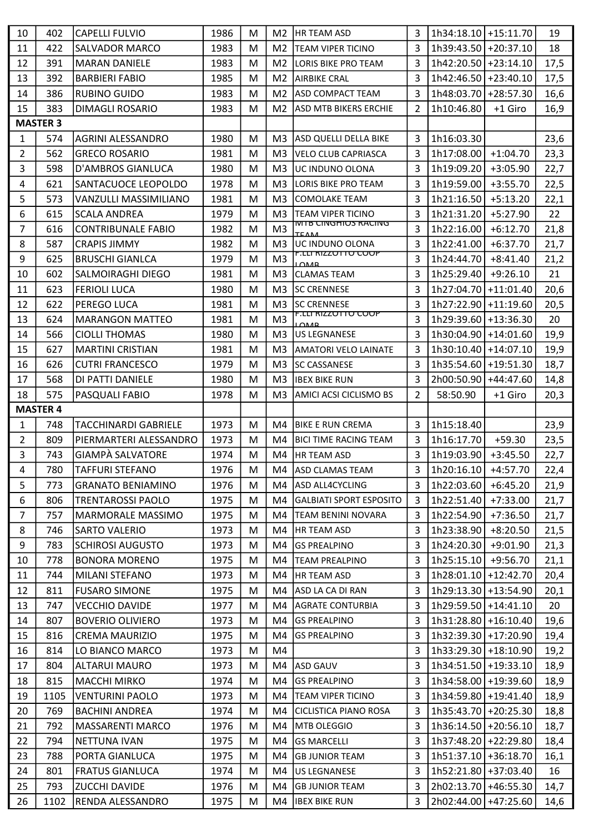| 402<br>3<br>1h34:18.10 + 15:11.70<br>10<br><b>CAPELLI FULVIO</b><br>1986<br>19<br>M <sub>2</sub><br>HR TEAM ASD<br>3<br>11<br>422<br><b>SALVADOR MARCO</b><br><b>TEAM VIPER TICINO</b><br>1h39:43.50 +20:37.10<br>18<br>1983<br>M<br>M <sub>2</sub><br>12<br>3<br>391<br><b>MARAN DANIELE</b><br>1983<br>1h42:20.50 + 23:14.10<br>17,5<br>M<br>M <sub>2</sub><br>LORIS BIKE PRO TEAM<br>13<br>392<br><b>BARBIERI FABIO</b><br>1985<br>M <sub>2</sub><br>3<br>1h42:46.50 +23:40.10<br>17,5<br>M<br><b>AIRBIKE CRAL</b><br>1h48:03.70 +28:57.30<br>14<br>386<br><b>RUBINO GUIDO</b><br>1983<br><b>ASD COMPACT TEAM</b><br>3<br>16,6<br>M<br>M <sub>2</sub><br>15<br>383<br>DIMAGLI ROSARIO<br>1983<br>M <sub>2</sub><br><b>ASD MTB BIKERS ERCHIE</b><br>2<br>1h10:46.80<br>+1 Giro<br>16,9<br>M<br><b>MASTER 3</b><br>23,6<br>1<br>574<br>AGRINI ALESSANDRO<br>1980<br>ASD QUELLI DELLA BIKE<br>3<br>1h16:03.30<br>M<br>M <sub>3</sub><br>3<br>23,3<br>2<br>562<br><b>GRECO ROSARIO</b><br>1981<br>M <sub>3</sub><br><b>VELO CLUB CAPRIASCA</b><br>1h17:08.00<br>$+1:04.70$<br>M<br>3<br>598<br>D'AMBROS GIANLUCA<br>3<br>1h19:09.20<br>$+3:05.90$<br>22,7<br>1980<br>M<br>M <sub>3</sub><br>UC INDUNO OLONA<br>3<br>1h19:59.00<br>$+3:55.70$<br>22,5<br>4<br>621<br>SANTACUOCE LEOPOLDO<br>1978<br>M <sub>3</sub><br>LORIS BIKE PRO TEAM<br>M<br>5<br>$\overline{3}$<br>573<br>VANZULLI MASSIMILIANO<br>1981<br>1h21:16.50<br>$+5:13.20$<br>M<br>M <sub>3</sub><br><b>COMOLAKE TEAM</b><br>22,1<br>6<br>3<br>1h21:31.20<br>22<br>615<br>$+5:27.90$<br><b>SCALA ANDREA</b><br>1979<br>M<br>M <sub>3</sub><br><b>TEAM VIPER TICINO</b><br><u>IVITB CINGHIOS RACING</u><br>7<br>3<br>M <sub>3</sub><br>1h22:16.00<br>$+6:12.70$<br>21,8<br>616<br><b>CONTRIBUNALE FABIO</b><br>1982<br>M<br><b>TEAM</b><br>3<br>$+6:37.70$<br>8<br>587<br><b>CRAPIS JIMMY</b><br>1982<br>1h22:41.00<br>21,7<br>M<br>M <sub>3</sub><br>UC INDUNO OLONA<br><u>F.LLI RIZZUTTU CUUP</u><br>9<br>3<br>1h24:44.70<br>625<br><b>BRUSCHI GIANLCA</b><br>1979<br>M <sub>3</sub><br>$+8:41.40$<br>21,2<br>M<br>10<br>602<br>SALMOIRAGHI DIEGO<br>1981<br><b>CLAMAS TEAM</b><br>3<br>1h25:29.40<br>$+9:26.10$<br>21<br>M<br>M <sub>3</sub><br>3<br>11<br>623<br><b>FERIOLI LUCA</b><br>1980<br>1h27:04.70 +11:01.40<br>20,6<br>M<br>M <sub>3</sub><br><b>SC CRENNESE</b><br>3<br>1h27:22.90 +11:19.60<br>12<br>622<br>PEREGO LUCA<br>1981<br><b>SC CRENNESE</b><br>20,5<br>M<br>M <sub>3</sub><br><u>F.LLI RIZZUTTU CUUP</u><br>3<br>20<br>13<br>M <sub>3</sub><br>1h29:39.60 +13:36.30<br>624<br><b>MARANGON MATTEO</b><br>1981<br>M<br>0000<br>566<br>3<br>1h30:04.90 +14:01.60<br>19,9<br>14<br><b>CIOLLI THOMAS</b><br>1980<br>M<br>M <sub>3</sub><br><b>US LEGNANESE</b><br>3<br>1h30:10.40   +14:07.10<br>19,9<br>15<br>627<br>1981<br>M <sub>3</sub><br><b>MARTINI CRISTIAN</b><br>M<br><b>AMATORI VELO LAINATE</b><br>1979<br>3<br>1h35:54.60 +19:51.30<br>18,7<br>16<br>626<br><b>CUTRI FRANCESCO</b><br>M <sub>3</sub><br><b>SC CASSANESE</b><br>M<br>568<br>17<br>DI PATTI DANIELE<br>1980<br><b>IBEX BIKE RUN</b><br>3<br>2h00:50.90 +44:47.60<br>M<br>M <sub>3</sub><br>14,8<br>18<br>$\overline{2}$<br>575<br>58:50.90<br>20,3<br>PASQUALI FABIO<br>1978<br>M <sub>3</sub><br>AMICI ACSI CICLISMO BS<br>+1 Giro<br>M<br><b>MASTER 4</b><br>3<br>1h15:18.40<br>23,9<br>1<br>748<br><b>TACCHINARDI GABRIELE</b><br>1973<br>M<br><b>BIKE E RUN CREMA</b><br>M4<br>2<br>809<br>3<br>1h16:17.70<br>$+59.30$<br>23,5<br>PIERMARTERI ALESSANDRO<br>1973<br>M<br>M4<br><b>BICI TIME RACING TEAM</b><br>3<br>GIAMPÀ SALVATORE<br>3<br>743<br>1974<br><b>HR TEAM ASD</b><br>1h19:03.90<br>$+3:45.50$<br>22,7<br>M<br>M4<br>4<br>780<br><b>TAFFURI STEFANO</b><br>1976<br><b>ASD CLAMAS TEAM</b><br> 1h20:16.10 <br>$+4:57.70$<br>22,4<br>M<br>M4<br>3<br>5<br>1976<br>3<br>1h22:03.60<br>$+6:45.20$<br>773<br><b>GRANATO BENIAMINO</b><br>M4<br><b>ASD ALL4CYCLING</b><br>21,9<br>M<br>6<br>1h22:51.40<br>$+7:33.00$<br>806<br><b>TRENTAROSSI PAOLO</b><br>1975<br><b>GALBIATI SPORT ESPOSITO</b><br>3<br>21,7<br>M<br>M4<br>$\overline{7}$<br>3<br>757<br>MARMORALE MASSIMO<br>1975<br>TEAM BENINI NOVARA<br>1h22:54.90<br>$+7:36.50$<br>21,7<br>M<br>M4<br>3<br>1h23:38.90<br>$+8:20.50$<br>8<br>746<br><b>SARTO VALERIO</b><br>1973<br><b>HR TEAM ASD</b><br>21,5<br>M<br>M4<br>3<br>9<br>783<br><b>SCHIROSI AUGUSTO</b><br><b>GS PREALPINO</b><br>1h24:20.30<br>$+9:01.90$<br>21,3<br>1973<br>M<br>M4<br>3<br>1h25:15.10<br>$+9:56.70$<br>10<br>778<br><b>BONORA MORENO</b><br>1975<br><b>TEAM PREALPINO</b><br>21,1<br>M<br>M4<br>3<br>MILANI STEFANO<br><b>HR TEAM ASD</b><br>1h28:01.10 +12:42.70<br>11<br>744<br>1973<br>M<br>20,4<br>M4<br>12<br><b>FUSARO SIMONE</b><br>3<br>1h29:13.30 +13:54.90<br>811<br>1975<br>ASD LA CA DI RAN<br>20,1<br>M<br>M4<br>3<br>13<br>747<br>1h29:59.50 +14:41.10<br>20<br><b>VECCHIO DAVIDE</b><br>1977<br>M<br>M4<br><b>AGRATE CONTURBIA</b> |
|---------------------------------------------------------------------------------------------------------------------------------------------------------------------------------------------------------------------------------------------------------------------------------------------------------------------------------------------------------------------------------------------------------------------------------------------------------------------------------------------------------------------------------------------------------------------------------------------------------------------------------------------------------------------------------------------------------------------------------------------------------------------------------------------------------------------------------------------------------------------------------------------------------------------------------------------------------------------------------------------------------------------------------------------------------------------------------------------------------------------------------------------------------------------------------------------------------------------------------------------------------------------------------------------------------------------------------------------------------------------------------------------------------------------------------------------------------------------------------------------------------------------------------------------------------------------------------------------------------------------------------------------------------------------------------------------------------------------------------------------------------------------------------------------------------------------------------------------------------------------------------------------------------------------------------------------------------------------------------------------------------------------------------------------------------------------------------------------------------------------------------------------------------------------------------------------------------------------------------------------------------------------------------------------------------------------------------------------------------------------------------------------------------------------------------------------------------------------------------------------------------------------------------------------------------------------------------------------------------------------------------------------------------------------------------------------------------------------------------------------------------------------------------------------------------------------------------------------------------------------------------------------------------------------------------------------------------------------------------------------------------------------------------------------------------------------------------------------------------------------------------------------------------------------------------------------------------------------------------------------------------------------------------------------------------------------------------------------------------------------------------------------------------------------------------------------------------------------------------------------------------------------------------------------------------------------------------------------------------------------------------------------------------------------------------------------------------------------------------------------------------------------------------------------------------------------------------------------------------------------------------------------------------------------------------------------------------------------------------------------------------------------------------------------------------------------------------------------------------------------------------------------------------------------------------------------------------------------------------------------------------------------------------------------------------------------------------------------------------------------------------------------------------------------------------------------------------------------------------------------------------------------------------------------------------------------------------------------------------------------------------------------------------------------------------------------------------------------------------------------------------------------------------------------------------------------------------------------------------------------------------------------------------------------------------------------------------------|
|                                                                                                                                                                                                                                                                                                                                                                                                                                                                                                                                                                                                                                                                                                                                                                                                                                                                                                                                                                                                                                                                                                                                                                                                                                                                                                                                                                                                                                                                                                                                                                                                                                                                                                                                                                                                                                                                                                                                                                                                                                                                                                                                                                                                                                                                                                                                                                                                                                                                                                                                                                                                                                                                                                                                                                                                                                                                                                                                                                                                                                                                                                                                                                                                                                                                                                                                                                                                                                                                                                                                                                                                                                                                                                                                                                                                                                                                                                                                                                                                                                                                                                                                                                                                                                                                                                                                                                                                                                                                                                                                                                                                                                                                                                                                                                                                                                                                                                                                                               |
|                                                                                                                                                                                                                                                                                                                                                                                                                                                                                                                                                                                                                                                                                                                                                                                                                                                                                                                                                                                                                                                                                                                                                                                                                                                                                                                                                                                                                                                                                                                                                                                                                                                                                                                                                                                                                                                                                                                                                                                                                                                                                                                                                                                                                                                                                                                                                                                                                                                                                                                                                                                                                                                                                                                                                                                                                                                                                                                                                                                                                                                                                                                                                                                                                                                                                                                                                                                                                                                                                                                                                                                                                                                                                                                                                                                                                                                                                                                                                                                                                                                                                                                                                                                                                                                                                                                                                                                                                                                                                                                                                                                                                                                                                                                                                                                                                                                                                                                                                               |
|                                                                                                                                                                                                                                                                                                                                                                                                                                                                                                                                                                                                                                                                                                                                                                                                                                                                                                                                                                                                                                                                                                                                                                                                                                                                                                                                                                                                                                                                                                                                                                                                                                                                                                                                                                                                                                                                                                                                                                                                                                                                                                                                                                                                                                                                                                                                                                                                                                                                                                                                                                                                                                                                                                                                                                                                                                                                                                                                                                                                                                                                                                                                                                                                                                                                                                                                                                                                                                                                                                                                                                                                                                                                                                                                                                                                                                                                                                                                                                                                                                                                                                                                                                                                                                                                                                                                                                                                                                                                                                                                                                                                                                                                                                                                                                                                                                                                                                                                                               |
|                                                                                                                                                                                                                                                                                                                                                                                                                                                                                                                                                                                                                                                                                                                                                                                                                                                                                                                                                                                                                                                                                                                                                                                                                                                                                                                                                                                                                                                                                                                                                                                                                                                                                                                                                                                                                                                                                                                                                                                                                                                                                                                                                                                                                                                                                                                                                                                                                                                                                                                                                                                                                                                                                                                                                                                                                                                                                                                                                                                                                                                                                                                                                                                                                                                                                                                                                                                                                                                                                                                                                                                                                                                                                                                                                                                                                                                                                                                                                                                                                                                                                                                                                                                                                                                                                                                                                                                                                                                                                                                                                                                                                                                                                                                                                                                                                                                                                                                                                               |
|                                                                                                                                                                                                                                                                                                                                                                                                                                                                                                                                                                                                                                                                                                                                                                                                                                                                                                                                                                                                                                                                                                                                                                                                                                                                                                                                                                                                                                                                                                                                                                                                                                                                                                                                                                                                                                                                                                                                                                                                                                                                                                                                                                                                                                                                                                                                                                                                                                                                                                                                                                                                                                                                                                                                                                                                                                                                                                                                                                                                                                                                                                                                                                                                                                                                                                                                                                                                                                                                                                                                                                                                                                                                                                                                                                                                                                                                                                                                                                                                                                                                                                                                                                                                                                                                                                                                                                                                                                                                                                                                                                                                                                                                                                                                                                                                                                                                                                                                                               |
|                                                                                                                                                                                                                                                                                                                                                                                                                                                                                                                                                                                                                                                                                                                                                                                                                                                                                                                                                                                                                                                                                                                                                                                                                                                                                                                                                                                                                                                                                                                                                                                                                                                                                                                                                                                                                                                                                                                                                                                                                                                                                                                                                                                                                                                                                                                                                                                                                                                                                                                                                                                                                                                                                                                                                                                                                                                                                                                                                                                                                                                                                                                                                                                                                                                                                                                                                                                                                                                                                                                                                                                                                                                                                                                                                                                                                                                                                                                                                                                                                                                                                                                                                                                                                                                                                                                                                                                                                                                                                                                                                                                                                                                                                                                                                                                                                                                                                                                                                               |
|                                                                                                                                                                                                                                                                                                                                                                                                                                                                                                                                                                                                                                                                                                                                                                                                                                                                                                                                                                                                                                                                                                                                                                                                                                                                                                                                                                                                                                                                                                                                                                                                                                                                                                                                                                                                                                                                                                                                                                                                                                                                                                                                                                                                                                                                                                                                                                                                                                                                                                                                                                                                                                                                                                                                                                                                                                                                                                                                                                                                                                                                                                                                                                                                                                                                                                                                                                                                                                                                                                                                                                                                                                                                                                                                                                                                                                                                                                                                                                                                                                                                                                                                                                                                                                                                                                                                                                                                                                                                                                                                                                                                                                                                                                                                                                                                                                                                                                                                                               |
|                                                                                                                                                                                                                                                                                                                                                                                                                                                                                                                                                                                                                                                                                                                                                                                                                                                                                                                                                                                                                                                                                                                                                                                                                                                                                                                                                                                                                                                                                                                                                                                                                                                                                                                                                                                                                                                                                                                                                                                                                                                                                                                                                                                                                                                                                                                                                                                                                                                                                                                                                                                                                                                                                                                                                                                                                                                                                                                                                                                                                                                                                                                                                                                                                                                                                                                                                                                                                                                                                                                                                                                                                                                                                                                                                                                                                                                                                                                                                                                                                                                                                                                                                                                                                                                                                                                                                                                                                                                                                                                                                                                                                                                                                                                                                                                                                                                                                                                                                               |
|                                                                                                                                                                                                                                                                                                                                                                                                                                                                                                                                                                                                                                                                                                                                                                                                                                                                                                                                                                                                                                                                                                                                                                                                                                                                                                                                                                                                                                                                                                                                                                                                                                                                                                                                                                                                                                                                                                                                                                                                                                                                                                                                                                                                                                                                                                                                                                                                                                                                                                                                                                                                                                                                                                                                                                                                                                                                                                                                                                                                                                                                                                                                                                                                                                                                                                                                                                                                                                                                                                                                                                                                                                                                                                                                                                                                                                                                                                                                                                                                                                                                                                                                                                                                                                                                                                                                                                                                                                                                                                                                                                                                                                                                                                                                                                                                                                                                                                                                                               |
|                                                                                                                                                                                                                                                                                                                                                                                                                                                                                                                                                                                                                                                                                                                                                                                                                                                                                                                                                                                                                                                                                                                                                                                                                                                                                                                                                                                                                                                                                                                                                                                                                                                                                                                                                                                                                                                                                                                                                                                                                                                                                                                                                                                                                                                                                                                                                                                                                                                                                                                                                                                                                                                                                                                                                                                                                                                                                                                                                                                                                                                                                                                                                                                                                                                                                                                                                                                                                                                                                                                                                                                                                                                                                                                                                                                                                                                                                                                                                                                                                                                                                                                                                                                                                                                                                                                                                                                                                                                                                                                                                                                                                                                                                                                                                                                                                                                                                                                                                               |
|                                                                                                                                                                                                                                                                                                                                                                                                                                                                                                                                                                                                                                                                                                                                                                                                                                                                                                                                                                                                                                                                                                                                                                                                                                                                                                                                                                                                                                                                                                                                                                                                                                                                                                                                                                                                                                                                                                                                                                                                                                                                                                                                                                                                                                                                                                                                                                                                                                                                                                                                                                                                                                                                                                                                                                                                                                                                                                                                                                                                                                                                                                                                                                                                                                                                                                                                                                                                                                                                                                                                                                                                                                                                                                                                                                                                                                                                                                                                                                                                                                                                                                                                                                                                                                                                                                                                                                                                                                                                                                                                                                                                                                                                                                                                                                                                                                                                                                                                                               |
|                                                                                                                                                                                                                                                                                                                                                                                                                                                                                                                                                                                                                                                                                                                                                                                                                                                                                                                                                                                                                                                                                                                                                                                                                                                                                                                                                                                                                                                                                                                                                                                                                                                                                                                                                                                                                                                                                                                                                                                                                                                                                                                                                                                                                                                                                                                                                                                                                                                                                                                                                                                                                                                                                                                                                                                                                                                                                                                                                                                                                                                                                                                                                                                                                                                                                                                                                                                                                                                                                                                                                                                                                                                                                                                                                                                                                                                                                                                                                                                                                                                                                                                                                                                                                                                                                                                                                                                                                                                                                                                                                                                                                                                                                                                                                                                                                                                                                                                                                               |
|                                                                                                                                                                                                                                                                                                                                                                                                                                                                                                                                                                                                                                                                                                                                                                                                                                                                                                                                                                                                                                                                                                                                                                                                                                                                                                                                                                                                                                                                                                                                                                                                                                                                                                                                                                                                                                                                                                                                                                                                                                                                                                                                                                                                                                                                                                                                                                                                                                                                                                                                                                                                                                                                                                                                                                                                                                                                                                                                                                                                                                                                                                                                                                                                                                                                                                                                                                                                                                                                                                                                                                                                                                                                                                                                                                                                                                                                                                                                                                                                                                                                                                                                                                                                                                                                                                                                                                                                                                                                                                                                                                                                                                                                                                                                                                                                                                                                                                                                                               |
|                                                                                                                                                                                                                                                                                                                                                                                                                                                                                                                                                                                                                                                                                                                                                                                                                                                                                                                                                                                                                                                                                                                                                                                                                                                                                                                                                                                                                                                                                                                                                                                                                                                                                                                                                                                                                                                                                                                                                                                                                                                                                                                                                                                                                                                                                                                                                                                                                                                                                                                                                                                                                                                                                                                                                                                                                                                                                                                                                                                                                                                                                                                                                                                                                                                                                                                                                                                                                                                                                                                                                                                                                                                                                                                                                                                                                                                                                                                                                                                                                                                                                                                                                                                                                                                                                                                                                                                                                                                                                                                                                                                                                                                                                                                                                                                                                                                                                                                                                               |
|                                                                                                                                                                                                                                                                                                                                                                                                                                                                                                                                                                                                                                                                                                                                                                                                                                                                                                                                                                                                                                                                                                                                                                                                                                                                                                                                                                                                                                                                                                                                                                                                                                                                                                                                                                                                                                                                                                                                                                                                                                                                                                                                                                                                                                                                                                                                                                                                                                                                                                                                                                                                                                                                                                                                                                                                                                                                                                                                                                                                                                                                                                                                                                                                                                                                                                                                                                                                                                                                                                                                                                                                                                                                                                                                                                                                                                                                                                                                                                                                                                                                                                                                                                                                                                                                                                                                                                                                                                                                                                                                                                                                                                                                                                                                                                                                                                                                                                                                                               |
|                                                                                                                                                                                                                                                                                                                                                                                                                                                                                                                                                                                                                                                                                                                                                                                                                                                                                                                                                                                                                                                                                                                                                                                                                                                                                                                                                                                                                                                                                                                                                                                                                                                                                                                                                                                                                                                                                                                                                                                                                                                                                                                                                                                                                                                                                                                                                                                                                                                                                                                                                                                                                                                                                                                                                                                                                                                                                                                                                                                                                                                                                                                                                                                                                                                                                                                                                                                                                                                                                                                                                                                                                                                                                                                                                                                                                                                                                                                                                                                                                                                                                                                                                                                                                                                                                                                                                                                                                                                                                                                                                                                                                                                                                                                                                                                                                                                                                                                                                               |
|                                                                                                                                                                                                                                                                                                                                                                                                                                                                                                                                                                                                                                                                                                                                                                                                                                                                                                                                                                                                                                                                                                                                                                                                                                                                                                                                                                                                                                                                                                                                                                                                                                                                                                                                                                                                                                                                                                                                                                                                                                                                                                                                                                                                                                                                                                                                                                                                                                                                                                                                                                                                                                                                                                                                                                                                                                                                                                                                                                                                                                                                                                                                                                                                                                                                                                                                                                                                                                                                                                                                                                                                                                                                                                                                                                                                                                                                                                                                                                                                                                                                                                                                                                                                                                                                                                                                                                                                                                                                                                                                                                                                                                                                                                                                                                                                                                                                                                                                                               |
|                                                                                                                                                                                                                                                                                                                                                                                                                                                                                                                                                                                                                                                                                                                                                                                                                                                                                                                                                                                                                                                                                                                                                                                                                                                                                                                                                                                                                                                                                                                                                                                                                                                                                                                                                                                                                                                                                                                                                                                                                                                                                                                                                                                                                                                                                                                                                                                                                                                                                                                                                                                                                                                                                                                                                                                                                                                                                                                                                                                                                                                                                                                                                                                                                                                                                                                                                                                                                                                                                                                                                                                                                                                                                                                                                                                                                                                                                                                                                                                                                                                                                                                                                                                                                                                                                                                                                                                                                                                                                                                                                                                                                                                                                                                                                                                                                                                                                                                                                               |
|                                                                                                                                                                                                                                                                                                                                                                                                                                                                                                                                                                                                                                                                                                                                                                                                                                                                                                                                                                                                                                                                                                                                                                                                                                                                                                                                                                                                                                                                                                                                                                                                                                                                                                                                                                                                                                                                                                                                                                                                                                                                                                                                                                                                                                                                                                                                                                                                                                                                                                                                                                                                                                                                                                                                                                                                                                                                                                                                                                                                                                                                                                                                                                                                                                                                                                                                                                                                                                                                                                                                                                                                                                                                                                                                                                                                                                                                                                                                                                                                                                                                                                                                                                                                                                                                                                                                                                                                                                                                                                                                                                                                                                                                                                                                                                                                                                                                                                                                                               |
|                                                                                                                                                                                                                                                                                                                                                                                                                                                                                                                                                                                                                                                                                                                                                                                                                                                                                                                                                                                                                                                                                                                                                                                                                                                                                                                                                                                                                                                                                                                                                                                                                                                                                                                                                                                                                                                                                                                                                                                                                                                                                                                                                                                                                                                                                                                                                                                                                                                                                                                                                                                                                                                                                                                                                                                                                                                                                                                                                                                                                                                                                                                                                                                                                                                                                                                                                                                                                                                                                                                                                                                                                                                                                                                                                                                                                                                                                                                                                                                                                                                                                                                                                                                                                                                                                                                                                                                                                                                                                                                                                                                                                                                                                                                                                                                                                                                                                                                                                               |
|                                                                                                                                                                                                                                                                                                                                                                                                                                                                                                                                                                                                                                                                                                                                                                                                                                                                                                                                                                                                                                                                                                                                                                                                                                                                                                                                                                                                                                                                                                                                                                                                                                                                                                                                                                                                                                                                                                                                                                                                                                                                                                                                                                                                                                                                                                                                                                                                                                                                                                                                                                                                                                                                                                                                                                                                                                                                                                                                                                                                                                                                                                                                                                                                                                                                                                                                                                                                                                                                                                                                                                                                                                                                                                                                                                                                                                                                                                                                                                                                                                                                                                                                                                                                                                                                                                                                                                                                                                                                                                                                                                                                                                                                                                                                                                                                                                                                                                                                                               |
|                                                                                                                                                                                                                                                                                                                                                                                                                                                                                                                                                                                                                                                                                                                                                                                                                                                                                                                                                                                                                                                                                                                                                                                                                                                                                                                                                                                                                                                                                                                                                                                                                                                                                                                                                                                                                                                                                                                                                                                                                                                                                                                                                                                                                                                                                                                                                                                                                                                                                                                                                                                                                                                                                                                                                                                                                                                                                                                                                                                                                                                                                                                                                                                                                                                                                                                                                                                                                                                                                                                                                                                                                                                                                                                                                                                                                                                                                                                                                                                                                                                                                                                                                                                                                                                                                                                                                                                                                                                                                                                                                                                                                                                                                                                                                                                                                                                                                                                                                               |
|                                                                                                                                                                                                                                                                                                                                                                                                                                                                                                                                                                                                                                                                                                                                                                                                                                                                                                                                                                                                                                                                                                                                                                                                                                                                                                                                                                                                                                                                                                                                                                                                                                                                                                                                                                                                                                                                                                                                                                                                                                                                                                                                                                                                                                                                                                                                                                                                                                                                                                                                                                                                                                                                                                                                                                                                                                                                                                                                                                                                                                                                                                                                                                                                                                                                                                                                                                                                                                                                                                                                                                                                                                                                                                                                                                                                                                                                                                                                                                                                                                                                                                                                                                                                                                                                                                                                                                                                                                                                                                                                                                                                                                                                                                                                                                                                                                                                                                                                                               |
|                                                                                                                                                                                                                                                                                                                                                                                                                                                                                                                                                                                                                                                                                                                                                                                                                                                                                                                                                                                                                                                                                                                                                                                                                                                                                                                                                                                                                                                                                                                                                                                                                                                                                                                                                                                                                                                                                                                                                                                                                                                                                                                                                                                                                                                                                                                                                                                                                                                                                                                                                                                                                                                                                                                                                                                                                                                                                                                                                                                                                                                                                                                                                                                                                                                                                                                                                                                                                                                                                                                                                                                                                                                                                                                                                                                                                                                                                                                                                                                                                                                                                                                                                                                                                                                                                                                                                                                                                                                                                                                                                                                                                                                                                                                                                                                                                                                                                                                                                               |
|                                                                                                                                                                                                                                                                                                                                                                                                                                                                                                                                                                                                                                                                                                                                                                                                                                                                                                                                                                                                                                                                                                                                                                                                                                                                                                                                                                                                                                                                                                                                                                                                                                                                                                                                                                                                                                                                                                                                                                                                                                                                                                                                                                                                                                                                                                                                                                                                                                                                                                                                                                                                                                                                                                                                                                                                                                                                                                                                                                                                                                                                                                                                                                                                                                                                                                                                                                                                                                                                                                                                                                                                                                                                                                                                                                                                                                                                                                                                                                                                                                                                                                                                                                                                                                                                                                                                                                                                                                                                                                                                                                                                                                                                                                                                                                                                                                                                                                                                                               |
|                                                                                                                                                                                                                                                                                                                                                                                                                                                                                                                                                                                                                                                                                                                                                                                                                                                                                                                                                                                                                                                                                                                                                                                                                                                                                                                                                                                                                                                                                                                                                                                                                                                                                                                                                                                                                                                                                                                                                                                                                                                                                                                                                                                                                                                                                                                                                                                                                                                                                                                                                                                                                                                                                                                                                                                                                                                                                                                                                                                                                                                                                                                                                                                                                                                                                                                                                                                                                                                                                                                                                                                                                                                                                                                                                                                                                                                                                                                                                                                                                                                                                                                                                                                                                                                                                                                                                                                                                                                                                                                                                                                                                                                                                                                                                                                                                                                                                                                                                               |
|                                                                                                                                                                                                                                                                                                                                                                                                                                                                                                                                                                                                                                                                                                                                                                                                                                                                                                                                                                                                                                                                                                                                                                                                                                                                                                                                                                                                                                                                                                                                                                                                                                                                                                                                                                                                                                                                                                                                                                                                                                                                                                                                                                                                                                                                                                                                                                                                                                                                                                                                                                                                                                                                                                                                                                                                                                                                                                                                                                                                                                                                                                                                                                                                                                                                                                                                                                                                                                                                                                                                                                                                                                                                                                                                                                                                                                                                                                                                                                                                                                                                                                                                                                                                                                                                                                                                                                                                                                                                                                                                                                                                                                                                                                                                                                                                                                                                                                                                                               |
|                                                                                                                                                                                                                                                                                                                                                                                                                                                                                                                                                                                                                                                                                                                                                                                                                                                                                                                                                                                                                                                                                                                                                                                                                                                                                                                                                                                                                                                                                                                                                                                                                                                                                                                                                                                                                                                                                                                                                                                                                                                                                                                                                                                                                                                                                                                                                                                                                                                                                                                                                                                                                                                                                                                                                                                                                                                                                                                                                                                                                                                                                                                                                                                                                                                                                                                                                                                                                                                                                                                                                                                                                                                                                                                                                                                                                                                                                                                                                                                                                                                                                                                                                                                                                                                                                                                                                                                                                                                                                                                                                                                                                                                                                                                                                                                                                                                                                                                                                               |
|                                                                                                                                                                                                                                                                                                                                                                                                                                                                                                                                                                                                                                                                                                                                                                                                                                                                                                                                                                                                                                                                                                                                                                                                                                                                                                                                                                                                                                                                                                                                                                                                                                                                                                                                                                                                                                                                                                                                                                                                                                                                                                                                                                                                                                                                                                                                                                                                                                                                                                                                                                                                                                                                                                                                                                                                                                                                                                                                                                                                                                                                                                                                                                                                                                                                                                                                                                                                                                                                                                                                                                                                                                                                                                                                                                                                                                                                                                                                                                                                                                                                                                                                                                                                                                                                                                                                                                                                                                                                                                                                                                                                                                                                                                                                                                                                                                                                                                                                                               |
|                                                                                                                                                                                                                                                                                                                                                                                                                                                                                                                                                                                                                                                                                                                                                                                                                                                                                                                                                                                                                                                                                                                                                                                                                                                                                                                                                                                                                                                                                                                                                                                                                                                                                                                                                                                                                                                                                                                                                                                                                                                                                                                                                                                                                                                                                                                                                                                                                                                                                                                                                                                                                                                                                                                                                                                                                                                                                                                                                                                                                                                                                                                                                                                                                                                                                                                                                                                                                                                                                                                                                                                                                                                                                                                                                                                                                                                                                                                                                                                                                                                                                                                                                                                                                                                                                                                                                                                                                                                                                                                                                                                                                                                                                                                                                                                                                                                                                                                                                               |
|                                                                                                                                                                                                                                                                                                                                                                                                                                                                                                                                                                                                                                                                                                                                                                                                                                                                                                                                                                                                                                                                                                                                                                                                                                                                                                                                                                                                                                                                                                                                                                                                                                                                                                                                                                                                                                                                                                                                                                                                                                                                                                                                                                                                                                                                                                                                                                                                                                                                                                                                                                                                                                                                                                                                                                                                                                                                                                                                                                                                                                                                                                                                                                                                                                                                                                                                                                                                                                                                                                                                                                                                                                                                                                                                                                                                                                                                                                                                                                                                                                                                                                                                                                                                                                                                                                                                                                                                                                                                                                                                                                                                                                                                                                                                                                                                                                                                                                                                                               |
|                                                                                                                                                                                                                                                                                                                                                                                                                                                                                                                                                                                                                                                                                                                                                                                                                                                                                                                                                                                                                                                                                                                                                                                                                                                                                                                                                                                                                                                                                                                                                                                                                                                                                                                                                                                                                                                                                                                                                                                                                                                                                                                                                                                                                                                                                                                                                                                                                                                                                                                                                                                                                                                                                                                                                                                                                                                                                                                                                                                                                                                                                                                                                                                                                                                                                                                                                                                                                                                                                                                                                                                                                                                                                                                                                                                                                                                                                                                                                                                                                                                                                                                                                                                                                                                                                                                                                                                                                                                                                                                                                                                                                                                                                                                                                                                                                                                                                                                                                               |
|                                                                                                                                                                                                                                                                                                                                                                                                                                                                                                                                                                                                                                                                                                                                                                                                                                                                                                                                                                                                                                                                                                                                                                                                                                                                                                                                                                                                                                                                                                                                                                                                                                                                                                                                                                                                                                                                                                                                                                                                                                                                                                                                                                                                                                                                                                                                                                                                                                                                                                                                                                                                                                                                                                                                                                                                                                                                                                                                                                                                                                                                                                                                                                                                                                                                                                                                                                                                                                                                                                                                                                                                                                                                                                                                                                                                                                                                                                                                                                                                                                                                                                                                                                                                                                                                                                                                                                                                                                                                                                                                                                                                                                                                                                                                                                                                                                                                                                                                                               |
|                                                                                                                                                                                                                                                                                                                                                                                                                                                                                                                                                                                                                                                                                                                                                                                                                                                                                                                                                                                                                                                                                                                                                                                                                                                                                                                                                                                                                                                                                                                                                                                                                                                                                                                                                                                                                                                                                                                                                                                                                                                                                                                                                                                                                                                                                                                                                                                                                                                                                                                                                                                                                                                                                                                                                                                                                                                                                                                                                                                                                                                                                                                                                                                                                                                                                                                                                                                                                                                                                                                                                                                                                                                                                                                                                                                                                                                                                                                                                                                                                                                                                                                                                                                                                                                                                                                                                                                                                                                                                                                                                                                                                                                                                                                                                                                                                                                                                                                                                               |
|                                                                                                                                                                                                                                                                                                                                                                                                                                                                                                                                                                                                                                                                                                                                                                                                                                                                                                                                                                                                                                                                                                                                                                                                                                                                                                                                                                                                                                                                                                                                                                                                                                                                                                                                                                                                                                                                                                                                                                                                                                                                                                                                                                                                                                                                                                                                                                                                                                                                                                                                                                                                                                                                                                                                                                                                                                                                                                                                                                                                                                                                                                                                                                                                                                                                                                                                                                                                                                                                                                                                                                                                                                                                                                                                                                                                                                                                                                                                                                                                                                                                                                                                                                                                                                                                                                                                                                                                                                                                                                                                                                                                                                                                                                                                                                                                                                                                                                                                                               |
|                                                                                                                                                                                                                                                                                                                                                                                                                                                                                                                                                                                                                                                                                                                                                                                                                                                                                                                                                                                                                                                                                                                                                                                                                                                                                                                                                                                                                                                                                                                                                                                                                                                                                                                                                                                                                                                                                                                                                                                                                                                                                                                                                                                                                                                                                                                                                                                                                                                                                                                                                                                                                                                                                                                                                                                                                                                                                                                                                                                                                                                                                                                                                                                                                                                                                                                                                                                                                                                                                                                                                                                                                                                                                                                                                                                                                                                                                                                                                                                                                                                                                                                                                                                                                                                                                                                                                                                                                                                                                                                                                                                                                                                                                                                                                                                                                                                                                                                                                               |
|                                                                                                                                                                                                                                                                                                                                                                                                                                                                                                                                                                                                                                                                                                                                                                                                                                                                                                                                                                                                                                                                                                                                                                                                                                                                                                                                                                                                                                                                                                                                                                                                                                                                                                                                                                                                                                                                                                                                                                                                                                                                                                                                                                                                                                                                                                                                                                                                                                                                                                                                                                                                                                                                                                                                                                                                                                                                                                                                                                                                                                                                                                                                                                                                                                                                                                                                                                                                                                                                                                                                                                                                                                                                                                                                                                                                                                                                                                                                                                                                                                                                                                                                                                                                                                                                                                                                                                                                                                                                                                                                                                                                                                                                                                                                                                                                                                                                                                                                                               |
|                                                                                                                                                                                                                                                                                                                                                                                                                                                                                                                                                                                                                                                                                                                                                                                                                                                                                                                                                                                                                                                                                                                                                                                                                                                                                                                                                                                                                                                                                                                                                                                                                                                                                                                                                                                                                                                                                                                                                                                                                                                                                                                                                                                                                                                                                                                                                                                                                                                                                                                                                                                                                                                                                                                                                                                                                                                                                                                                                                                                                                                                                                                                                                                                                                                                                                                                                                                                                                                                                                                                                                                                                                                                                                                                                                                                                                                                                                                                                                                                                                                                                                                                                                                                                                                                                                                                                                                                                                                                                                                                                                                                                                                                                                                                                                                                                                                                                                                                                               |
| 14<br>807<br><b>BOVERIO OLIVIERO</b><br>1973<br>3<br>1h31:28.80 +16:10.40<br>19,6<br>M<br><b>GS PREALPINO</b><br>M4                                                                                                                                                                                                                                                                                                                                                                                                                                                                                                                                                                                                                                                                                                                                                                                                                                                                                                                                                                                                                                                                                                                                                                                                                                                                                                                                                                                                                                                                                                                                                                                                                                                                                                                                                                                                                                                                                                                                                                                                                                                                                                                                                                                                                                                                                                                                                                                                                                                                                                                                                                                                                                                                                                                                                                                                                                                                                                                                                                                                                                                                                                                                                                                                                                                                                                                                                                                                                                                                                                                                                                                                                                                                                                                                                                                                                                                                                                                                                                                                                                                                                                                                                                                                                                                                                                                                                                                                                                                                                                                                                                                                                                                                                                                                                                                                                                           |
| 15<br>816<br><b>CREMA MAURIZIO</b><br>1975<br>1h32:39.30 +17:20.90<br>19,4<br>M4<br><b>GS PREALPINO</b><br>3<br>м                                                                                                                                                                                                                                                                                                                                                                                                                                                                                                                                                                                                                                                                                                                                                                                                                                                                                                                                                                                                                                                                                                                                                                                                                                                                                                                                                                                                                                                                                                                                                                                                                                                                                                                                                                                                                                                                                                                                                                                                                                                                                                                                                                                                                                                                                                                                                                                                                                                                                                                                                                                                                                                                                                                                                                                                                                                                                                                                                                                                                                                                                                                                                                                                                                                                                                                                                                                                                                                                                                                                                                                                                                                                                                                                                                                                                                                                                                                                                                                                                                                                                                                                                                                                                                                                                                                                                                                                                                                                                                                                                                                                                                                                                                                                                                                                                                             |
| 16<br>814<br>LO BIANCO MARCO<br>1973<br>3<br>1h33:29.30 +18:10.90<br>19,2<br>M4<br>м                                                                                                                                                                                                                                                                                                                                                                                                                                                                                                                                                                                                                                                                                                                                                                                                                                                                                                                                                                                                                                                                                                                                                                                                                                                                                                                                                                                                                                                                                                                                                                                                                                                                                                                                                                                                                                                                                                                                                                                                                                                                                                                                                                                                                                                                                                                                                                                                                                                                                                                                                                                                                                                                                                                                                                                                                                                                                                                                                                                                                                                                                                                                                                                                                                                                                                                                                                                                                                                                                                                                                                                                                                                                                                                                                                                                                                                                                                                                                                                                                                                                                                                                                                                                                                                                                                                                                                                                                                                                                                                                                                                                                                                                                                                                                                                                                                                                          |
| 17<br>ALTARUI MAURO<br>1973<br><b>ASD GAUV</b><br>3<br>1h34:51.50 +19:33.10<br>18,9<br>804<br>M<br>M4                                                                                                                                                                                                                                                                                                                                                                                                                                                                                                                                                                                                                                                                                                                                                                                                                                                                                                                                                                                                                                                                                                                                                                                                                                                                                                                                                                                                                                                                                                                                                                                                                                                                                                                                                                                                                                                                                                                                                                                                                                                                                                                                                                                                                                                                                                                                                                                                                                                                                                                                                                                                                                                                                                                                                                                                                                                                                                                                                                                                                                                                                                                                                                                                                                                                                                                                                                                                                                                                                                                                                                                                                                                                                                                                                                                                                                                                                                                                                                                                                                                                                                                                                                                                                                                                                                                                                                                                                                                                                                                                                                                                                                                                                                                                                                                                                                                         |
| 3<br>18<br>815<br>MACCHI MIRKO<br>1974<br><b>GS PREALPINO</b><br>1h34:58.00 +19:39.60<br>18,9<br>M<br>M4                                                                                                                                                                                                                                                                                                                                                                                                                                                                                                                                                                                                                                                                                                                                                                                                                                                                                                                                                                                                                                                                                                                                                                                                                                                                                                                                                                                                                                                                                                                                                                                                                                                                                                                                                                                                                                                                                                                                                                                                                                                                                                                                                                                                                                                                                                                                                                                                                                                                                                                                                                                                                                                                                                                                                                                                                                                                                                                                                                                                                                                                                                                                                                                                                                                                                                                                                                                                                                                                                                                                                                                                                                                                                                                                                                                                                                                                                                                                                                                                                                                                                                                                                                                                                                                                                                                                                                                                                                                                                                                                                                                                                                                                                                                                                                                                                                                      |
| <b>VENTURINI PAOLO</b><br>1h34:59.80 +19:41.40<br>18,9<br>19<br>1105<br>1973<br><b>TEAM VIPER TICINO</b><br>3<br>M<br>M4                                                                                                                                                                                                                                                                                                                                                                                                                                                                                                                                                                                                                                                                                                                                                                                                                                                                                                                                                                                                                                                                                                                                                                                                                                                                                                                                                                                                                                                                                                                                                                                                                                                                                                                                                                                                                                                                                                                                                                                                                                                                                                                                                                                                                                                                                                                                                                                                                                                                                                                                                                                                                                                                                                                                                                                                                                                                                                                                                                                                                                                                                                                                                                                                                                                                                                                                                                                                                                                                                                                                                                                                                                                                                                                                                                                                                                                                                                                                                                                                                                                                                                                                                                                                                                                                                                                                                                                                                                                                                                                                                                                                                                                                                                                                                                                                                                      |
| 3<br>20<br>769<br><b>BACHINI ANDREA</b><br>1974<br><b>CICLISTICA PIANO ROSA</b><br>1h35:43.70 +20:25.30<br>18,8<br>M<br>M4                                                                                                                                                                                                                                                                                                                                                                                                                                                                                                                                                                                                                                                                                                                                                                                                                                                                                                                                                                                                                                                                                                                                                                                                                                                                                                                                                                                                                                                                                                                                                                                                                                                                                                                                                                                                                                                                                                                                                                                                                                                                                                                                                                                                                                                                                                                                                                                                                                                                                                                                                                                                                                                                                                                                                                                                                                                                                                                                                                                                                                                                                                                                                                                                                                                                                                                                                                                                                                                                                                                                                                                                                                                                                                                                                                                                                                                                                                                                                                                                                                                                                                                                                                                                                                                                                                                                                                                                                                                                                                                                                                                                                                                                                                                                                                                                                                    |
| 792<br>MASSARENTI MARCO<br>3<br>1h36:14.50 +20:56.10<br>18,7<br>21<br>1976<br>MTB OLEGGIO<br>M<br>M4                                                                                                                                                                                                                                                                                                                                                                                                                                                                                                                                                                                                                                                                                                                                                                                                                                                                                                                                                                                                                                                                                                                                                                                                                                                                                                                                                                                                                                                                                                                                                                                                                                                                                                                                                                                                                                                                                                                                                                                                                                                                                                                                                                                                                                                                                                                                                                                                                                                                                                                                                                                                                                                                                                                                                                                                                                                                                                                                                                                                                                                                                                                                                                                                                                                                                                                                                                                                                                                                                                                                                                                                                                                                                                                                                                                                                                                                                                                                                                                                                                                                                                                                                                                                                                                                                                                                                                                                                                                                                                                                                                                                                                                                                                                                                                                                                                                          |
| 22<br>794<br><b>NETTUNA IVAN</b><br><b>GS MARCELLI</b><br>3<br>1h37:48.20 +22:29.80<br>1975<br>M<br>M4<br>18,4                                                                                                                                                                                                                                                                                                                                                                                                                                                                                                                                                                                                                                                                                                                                                                                                                                                                                                                                                                                                                                                                                                                                                                                                                                                                                                                                                                                                                                                                                                                                                                                                                                                                                                                                                                                                                                                                                                                                                                                                                                                                                                                                                                                                                                                                                                                                                                                                                                                                                                                                                                                                                                                                                                                                                                                                                                                                                                                                                                                                                                                                                                                                                                                                                                                                                                                                                                                                                                                                                                                                                                                                                                                                                                                                                                                                                                                                                                                                                                                                                                                                                                                                                                                                                                                                                                                                                                                                                                                                                                                                                                                                                                                                                                                                                                                                                                                |
| 23<br>788<br>PORTA GIANLUCA<br>3<br>1h51:37.10 + 36:18.70<br>1975<br><b>GB JUNIOR TEAM</b><br>16,1<br>M<br>M4                                                                                                                                                                                                                                                                                                                                                                                                                                                                                                                                                                                                                                                                                                                                                                                                                                                                                                                                                                                                                                                                                                                                                                                                                                                                                                                                                                                                                                                                                                                                                                                                                                                                                                                                                                                                                                                                                                                                                                                                                                                                                                                                                                                                                                                                                                                                                                                                                                                                                                                                                                                                                                                                                                                                                                                                                                                                                                                                                                                                                                                                                                                                                                                                                                                                                                                                                                                                                                                                                                                                                                                                                                                                                                                                                                                                                                                                                                                                                                                                                                                                                                                                                                                                                                                                                                                                                                                                                                                                                                                                                                                                                                                                                                                                                                                                                                                 |
| 3<br><b>FRATUS GIANLUCA</b><br>1h52:21.80 + 37:03.40<br>24<br>801<br>1974<br>M<br>M4<br><b>US LEGNANESE</b><br>16                                                                                                                                                                                                                                                                                                                                                                                                                                                                                                                                                                                                                                                                                                                                                                                                                                                                                                                                                                                                                                                                                                                                                                                                                                                                                                                                                                                                                                                                                                                                                                                                                                                                                                                                                                                                                                                                                                                                                                                                                                                                                                                                                                                                                                                                                                                                                                                                                                                                                                                                                                                                                                                                                                                                                                                                                                                                                                                                                                                                                                                                                                                                                                                                                                                                                                                                                                                                                                                                                                                                                                                                                                                                                                                                                                                                                                                                                                                                                                                                                                                                                                                                                                                                                                                                                                                                                                                                                                                                                                                                                                                                                                                                                                                                                                                                                                             |
| 25<br>3<br>2h02:13.70 +46:55.30<br>793<br>ZUCCHI DAVIDE<br>1976<br><b>GB JUNIOR TEAM</b><br>14,7<br>M<br>M4                                                                                                                                                                                                                                                                                                                                                                                                                                                                                                                                                                                                                                                                                                                                                                                                                                                                                                                                                                                                                                                                                                                                                                                                                                                                                                                                                                                                                                                                                                                                                                                                                                                                                                                                                                                                                                                                                                                                                                                                                                                                                                                                                                                                                                                                                                                                                                                                                                                                                                                                                                                                                                                                                                                                                                                                                                                                                                                                                                                                                                                                                                                                                                                                                                                                                                                                                                                                                                                                                                                                                                                                                                                                                                                                                                                                                                                                                                                                                                                                                                                                                                                                                                                                                                                                                                                                                                                                                                                                                                                                                                                                                                                                                                                                                                                                                                                   |
| 26<br>RENDA ALESSANDRO<br>1975<br>3<br>2h02:44.00 +47:25.60<br>1102<br>M<br>M4<br><b>IBEX BIKE RUN</b><br>14,6                                                                                                                                                                                                                                                                                                                                                                                                                                                                                                                                                                                                                                                                                                                                                                                                                                                                                                                                                                                                                                                                                                                                                                                                                                                                                                                                                                                                                                                                                                                                                                                                                                                                                                                                                                                                                                                                                                                                                                                                                                                                                                                                                                                                                                                                                                                                                                                                                                                                                                                                                                                                                                                                                                                                                                                                                                                                                                                                                                                                                                                                                                                                                                                                                                                                                                                                                                                                                                                                                                                                                                                                                                                                                                                                                                                                                                                                                                                                                                                                                                                                                                                                                                                                                                                                                                                                                                                                                                                                                                                                                                                                                                                                                                                                                                                                                                                |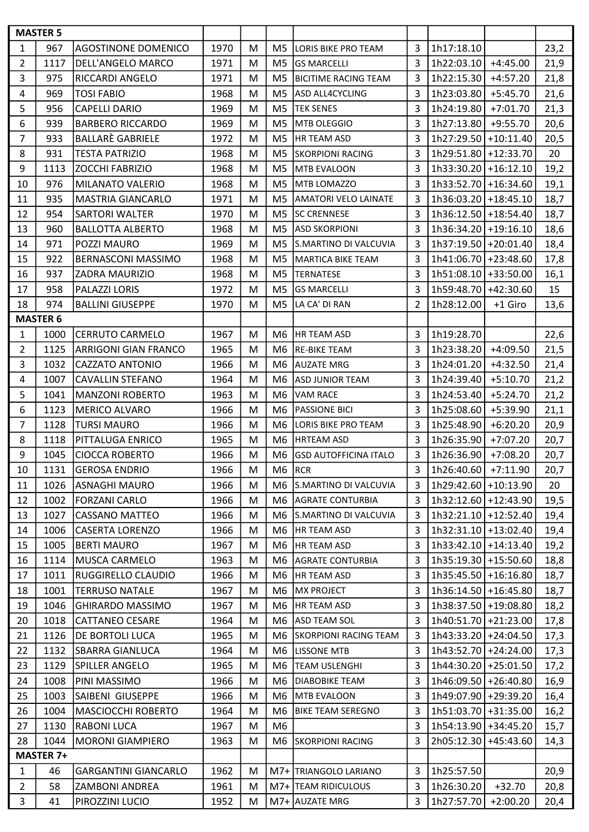|                | <b>MASTER 5</b>  |                             |      |   |                |                              |                |                        |            |      |
|----------------|------------------|-----------------------------|------|---|----------------|------------------------------|----------------|------------------------|------------|------|
| 1              | 967              | <b>AGOSTINONE DOMENICO</b>  | 1970 | M | M <sub>5</sub> | LORIS BIKE PRO TEAM          | 3              | 1h17:18.10             |            | 23,2 |
| $\overline{2}$ | 1117             | DELL'ANGELO MARCO           | 1971 | M | M <sub>5</sub> | <b>GS MARCELLI</b>           | 3              | 1h22:03.10             | $+4:45.00$ | 21,9 |
| 3              | 975              | RICCARDI ANGELO             | 1971 | M | M <sub>5</sub> | <b>BICITIME RACING TEAM</b>  | 3              | 1h22:15.30             | $+4:57.20$ | 21,8 |
| 4              | 969              | <b>TOSI FABIO</b>           | 1968 | M | M <sub>5</sub> | ASD ALL4CYCLING              | 3              | 1h23:03.80             | $+5:45.70$ | 21,6 |
| 5              | 956              | <b>CAPELLI DARIO</b>        | 1969 | M | M <sub>5</sub> | <b>TEK SENES</b>             | 3              | 1h24:19.80             | $+7:01.70$ | 21,3 |
| 6              | 939              | <b>BARBERO RICCARDO</b>     | 1969 | M | M <sub>5</sub> | <b>MTB OLEGGIO</b>           | 3              | 1h27:13.80             | $+9:55.70$ | 20,6 |
| $\overline{7}$ | 933              | <b>BALLARÈ GABRIELE</b>     | 1972 | M | M <sub>5</sub> | <b>HR TEAM ASD</b>           | 3              | 1h27:29.50 +10:11.40   |            | 20,5 |
| 8              | 931              | <b>TESTA PATRIZIO</b>       | 1968 | M | M <sub>5</sub> | <b>SKORPIONI RACING</b>      | 3              | 1h29:51.80 +12:33.70   |            | 20   |
| 9              | 1113             | ZOCCHI FABRIZIO             | 1968 | M | M <sub>5</sub> | <b>MTB EVALOON</b>           | 3              | $1h33:30.20$ +16:12.10 |            | 19,2 |
| 10             | 976              | MILANATO VALERIO            | 1968 | M | M <sub>5</sub> | MTB LOMAZZO                  | 3              | 1h33:52.70 +16:34.60   |            | 19,1 |
| 11             | 935              | <b>MASTRIA GIANCARLO</b>    | 1971 | M | M <sub>5</sub> | <b>AMATORI VELO LAINATE</b>  | 3              | 1h36:03.20 +18:45.10   |            | 18,7 |
| 12             | 954              | <b>SARTORI WALTER</b>       | 1970 | M | M <sub>5</sub> | <b>SC CRENNESE</b>           | 3              | 1h36:12.50 +18:54.40   |            | 18,7 |
| 13             | 960              | <b>BALLOTTA ALBERTO</b>     | 1968 | M | M <sub>5</sub> | <b>ASD SKORPIONI</b>         | 3              | 1h36:34.20 +19:16.10   |            | 18,6 |
| 14             | 971              | POZZI MAURO                 | 1969 | M | M <sub>5</sub> | S.MARTINO DI VALCUVIA        | 3              | 1h37:19.50 +20:01.40   |            | 18,4 |
| 15             | 922              | <b>BERNASCONI MASSIMO</b>   | 1968 | M | M <sub>5</sub> | <b>MARTICA BIKE TEAM</b>     | 3              | 1h41:06.70 +23:48.60   |            | 17,8 |
| 16             | 937              | ZADRA MAURIZIO              | 1968 | M | M <sub>5</sub> | <b>TERNATESE</b>             | 3              | 1h51:08.10 +33:50.00   |            | 16,1 |
| 17             | 958              | PALAZZI LORIS               | 1972 | M | M <sub>5</sub> | <b>GS MARCELLI</b>           | 3              | 1h59:48.70 +42:30.60   |            | 15   |
| 18             | 974              | <b>BALLINI GIUSEPPE</b>     | 1970 | M | M <sub>5</sub> | LA CA' DI RAN                | $\overline{2}$ | 1h28:12.00             | +1 Giro    | 13,6 |
|                | <b>MASTER 6</b>  |                             |      |   |                |                              |                |                        |            |      |
| $\mathbf{1}$   | 1000             | <b>CERRUTO CARMELO</b>      | 1967 | M | M <sub>6</sub> | <b>HR TEAM ASD</b>           | 3              | 1h19:28.70             |            | 22,6 |
| $\overline{2}$ | 1125             | ARRIGONI GIAN FRANCO        | 1965 | M | M6             | <b>RE-BIKE TEAM</b>          | 3              | 1h23:38.20             | $+4:09.50$ | 21,5 |
| 3              | 1032             | <b>CAZZATO ANTONIO</b>      | 1966 | M | M <sub>6</sub> | <b>AUZATE MRG</b>            | 3              | 1h24:01.20             | $+4:32.50$ | 21,4 |
| 4              | 1007             | <b>CAVALLIN STEFANO</b>     | 1964 | M | M <sub>6</sub> | <b>ASD JUNIOR TEAM</b>       | 3              | 1h24:39.40             | $+5:10.70$ | 21,2 |
| 5              | 1041             | <b>MANZONI ROBERTO</b>      | 1963 | M | M <sub>6</sub> | <b>VAM RACE</b>              | 3              | 1h24:53.40             | $+5:24.70$ | 21,2 |
| 6              | 1123             | <b>MERICO ALVARO</b>        | 1966 | M | M <sub>6</sub> | <b>PASSIONE BICI</b>         | 3              | 1h25:08.60             | +5:39.90   | 21,1 |
| 7              | 1128             | <b>TURSI MAURO</b>          | 1966 | M | M <sub>6</sub> | LORIS BIKE PRO TEAM          | 3              | 1h25:48.90             | $+6:20.20$ | 20,9 |
| 8              | 1118             | PITTALUGA ENRICO            | 1965 | M | M <sub>6</sub> | <b>HRTEAM ASD</b>            | 3              | 1h26:35.90             | $+7:07.20$ | 20,7 |
| 9              | 1045             | <b>CIOCCA ROBERTO</b>       | 1966 | M | M <sub>6</sub> | <b>GSD AUTOFFICINA ITALO</b> | 3              | 1h26:36.90             | $+7:08.20$ | 20,7 |
| 10             | 1131             | <b>GEROSA ENDRIO</b>        | 1966 | M | M6             | RCR                          | 3              | $1h26:40.60$ +7:11.90  |            | 20,7 |
| 11             | 1026             | <b>ASNAGHI MAURO</b>        | 1966 | M | M <sub>6</sub> | S.MARTINO DI VALCUVIA        | 3              | 1h29:42.60 +10:13.90   |            | 20   |
| 12             | 1002             | <b>FORZANI CARLO</b>        | 1966 | M | M6             | <b>AGRATE CONTURBIA</b>      | 3              | 1h32:12.60 +12:43.90   |            | 19,5 |
| 13             | 1027             | <b>CASSANO MATTEO</b>       | 1966 | M | M6             | S.MARTINO DI VALCUVIA        | 3              | 1h32:21.10 +12:52.40   |            | 19,4 |
| 14             | 1006             | <b>CASERTA LORENZO</b>      | 1966 | M | M6             | <b>HR TEAM ASD</b>           | 3              | 1h32:31.10 +13:02.40   |            | 19,4 |
| 15             | 1005             | <b>BERTI MAURO</b>          | 1967 | M | M6             | HR TEAM ASD                  | 3              | 1h33:42.10 +14:13.40   |            | 19,2 |
| 16             | 1114             | <b>MUSCA CARMELO</b>        | 1963 | M | M6             | <b>AGRATE CONTURBIA</b>      | 3              | 1h35:19.30 +15:50.60   |            | 18,8 |
| 17             | 1011             | RUGGIRELLO CLAUDIO          | 1966 | M | M6             | HR TEAM ASD                  | 3              | 1h35:45.50 +16:16.80   |            | 18,7 |
| 18             | 1001             | <b>TERRUSO NATALE</b>       | 1967 | M | M6             | <b>MX PROJECT</b>            | 3              | 1h36:14.50 +16:45.80   |            | 18,7 |
| 19             | 1046             | <b>GHIRARDO MASSIMO</b>     | 1967 | M | M6             | HR TEAM ASD                  | 3              | 1h38:37.50 +19:08.80   |            | 18,2 |
| 20             | 1018             | <b>CATTANEO CESARE</b>      | 1964 | M | M6             | <b>ASD TEAM SOL</b>          | 3              | 1h40:51.70 +21:23.00   |            | 17,8 |
| 21             | 1126             | DE BORTOLI LUCA             | 1965 | M | M <sub>6</sub> | <b>SKORPIONI RACING TEAM</b> | 3              | 1h43:33.20 +24:04.50   |            | 17,3 |
| 22             | 1132             | <b>SBARRA GIANLUCA</b>      | 1964 | M | M <sub>6</sub> | LISSONE MTB                  | 3              | 1h43:52.70 +24:24.00   |            | 17,3 |
| 23             | 1129             | SPILLER ANGELO              | 1965 | M | M <sub>6</sub> | <b>TEAM USLENGHI</b>         | $\overline{3}$ | 1h44:30.20 +25:01.50   |            | 17,2 |
| 24             | 1008             | PINI MASSIMO                | 1966 | M | M <sub>6</sub> | <b>DIABOBIKE TEAM</b>        | 3              | 1h46:09.50 +26:40.80   |            | 16,9 |
| 25             | 1003             | SAIBENI GIUSEPPE            | 1966 | M | M <sub>6</sub> | <b>MTB EVALOON</b>           | 3              | 1h49:07.90 +29:39.20   |            | 16,4 |
| 26             | 1004             | MASCIOCCHI ROBERTO          | 1964 | M | M6             | <b>BIKE TEAM SEREGNO</b>     | 3              | 1h51:03.70 +31:35.00   |            | 16,2 |
| 27             | 1130             | RABONI LUCA                 | 1967 | м | M <sub>6</sub> |                              | 3              | 1h54:13.90 + 34:45.20  |            | 15,7 |
| 28             | 1044             | <b>MORONI GIAMPIERO</b>     | 1963 | M | M6             | <b>SKORPIONI RACING</b>      | 3              | 2h05:12.30 +45:43.60   |            | 14,3 |
|                | <b>MASTER 7+</b> |                             |      |   |                |                              |                |                        |            |      |
| $\mathbf{1}$   | 46               | <b>GARGANTINI GIANCARLO</b> | 1962 | M |                | M7+ TRIANGOLO LARIANO        | 3              | 1h25:57.50             |            | 20,9 |
| $\overline{2}$ | 58               | <b>ZAMBONI ANDREA</b>       | 1961 | M | $M7+$          | <b>TEAM RIDICULOUS</b>       | 3              | 1h26:30.20             | $+32.70$   | 20,8 |
| 3              | 41               | PIROZZINI LUCIO             | 1952 | M |                | M7+ AUZATE MRG               | 3              | 1h27:57.70             | $+2:00.20$ | 20,4 |